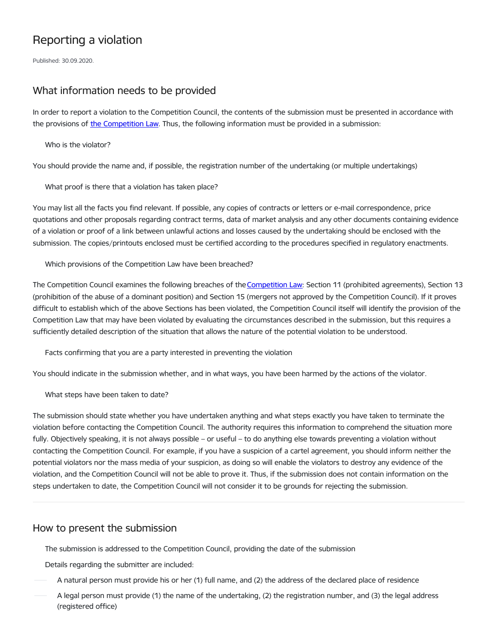# Reporting a violation

Published: 30.09.2020.

# What information needs to be provided

In order to report a violation to the Competition Council, the contents of the submission must be presented in accordance with the provisions of the [Competition](https://likumi.lv/ta/en/en/id/54890-competition-law) Law. Thus, the following information must be provided in a submission:

Who is the violator?

You should provide the name and, if possible, the registration number of the undertaking (or multiple undertakings)

What proof is there that a violation has taken place?

You may list all the facts you find relevant. If possible, any copies of contracts or letters or e-mail correspondence, price quotations and other proposals regarding contract terms, data of market analysis and any other documents containing evidence of a violation or proof of a link between unlawful actions and losses caused by the undertaking should be enclosed with the submission. The copies/printouts enclosed must be certified according to the procedures specified in regulatory enactments.

Which provisions of the Competition Law have been breached?

The [Competition](http://www.vvc.gov.lv/export/sites/default/docs/LRTA/Likumi/Competition_Law.doc) Council examines the following breaches of the Competition Law: Section 11 (prohibited agreements), Section 13 (prohibition of the abuse of a dominant position) and Section 15 (mergers not approved by the Competition Council). If it proves difficult to establish which of the above Sections has been violated, the Competition Council itself will identify the provision of the Competition Law that may have been violated by evaluating the circumstances described in the submission, but this requires a sufficiently detailed description of the situation that allows the nature of the potential violation to be understood.

Facts confirming that you are a party interested in preventing the violation

You should indicate in the submission whether, and in what ways, you have been harmed by the actions of the violator.

What steps have been taken to date?

The submission should state whether you have undertaken anything and what steps exactly you have taken to terminate the violation before contacting the Competition Council. The authority requires this information to comprehend the situation more fully. Objectively speaking, it is not always possible – or useful – to do anything else towards preventing a violation without contacting the Competition Council. For example, if you have a suspicion of a cartel agreement, you should inform neither the potential violators nor the mass media of your suspicion, as doing so will enable the violators to destroy any evidence of the violation, and the Competition Council will not be able to prove it. Thus, if the submission does not contain information on the steps undertaken to date, the Competition Council will not consider it to be grounds for rejecting the submission.

## How to present the submission

The submission is addressed to the Competition Council, providing the date of the submission

Details regarding the submitter are included:

- A natural person must provide his or her (1) full name, and (2) the address of the declared place of residence
- A legal person must provide (1) the name of the undertaking, (2) the registration number, and (3) the legal address (registered office)